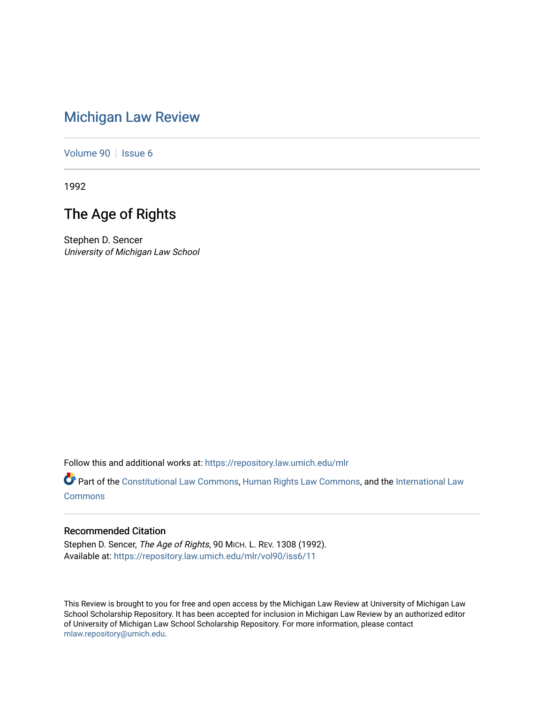## [Michigan Law Review](https://repository.law.umich.edu/mlr)

[Volume 90](https://repository.law.umich.edu/mlr/vol90) | [Issue 6](https://repository.law.umich.edu/mlr/vol90/iss6)

1992

## The Age of Rights

Stephen D. Sencer University of Michigan Law School

Follow this and additional works at: [https://repository.law.umich.edu/mlr](https://repository.law.umich.edu/mlr?utm_source=repository.law.umich.edu%2Fmlr%2Fvol90%2Fiss6%2F11&utm_medium=PDF&utm_campaign=PDFCoverPages) 

Part of the [Constitutional Law Commons,](http://network.bepress.com/hgg/discipline/589?utm_source=repository.law.umich.edu%2Fmlr%2Fvol90%2Fiss6%2F11&utm_medium=PDF&utm_campaign=PDFCoverPages) [Human Rights Law Commons,](http://network.bepress.com/hgg/discipline/847?utm_source=repository.law.umich.edu%2Fmlr%2Fvol90%2Fiss6%2F11&utm_medium=PDF&utm_campaign=PDFCoverPages) and the [International Law](http://network.bepress.com/hgg/discipline/609?utm_source=repository.law.umich.edu%2Fmlr%2Fvol90%2Fiss6%2F11&utm_medium=PDF&utm_campaign=PDFCoverPages) [Commons](http://network.bepress.com/hgg/discipline/609?utm_source=repository.law.umich.edu%2Fmlr%2Fvol90%2Fiss6%2F11&utm_medium=PDF&utm_campaign=PDFCoverPages)

## Recommended Citation

Stephen D. Sencer, The Age of Rights, 90 MICH. L. REV. 1308 (1992). Available at: [https://repository.law.umich.edu/mlr/vol90/iss6/11](https://repository.law.umich.edu/mlr/vol90/iss6/11?utm_source=repository.law.umich.edu%2Fmlr%2Fvol90%2Fiss6%2F11&utm_medium=PDF&utm_campaign=PDFCoverPages) 

This Review is brought to you for free and open access by the Michigan Law Review at University of Michigan Law School Scholarship Repository. It has been accepted for inclusion in Michigan Law Review by an authorized editor of University of Michigan Law School Scholarship Repository. For more information, please contact [mlaw.repository@umich.edu.](mailto:mlaw.repository@umich.edu)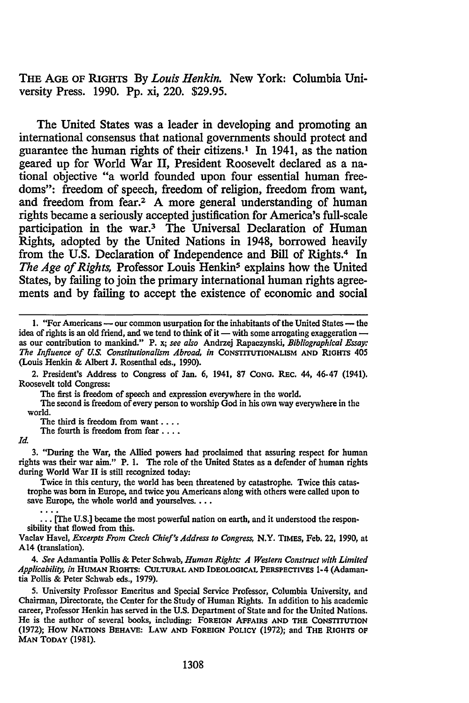THE AGE OF RIGHTS By *Louis Henkin.* New York: Columbia University Press. 1990. Pp. xi, 220. \$29.95.

The United States was a leader in developing and promoting an international consensus that national governments should protect and guarantee the human rights of their citizens.<sup>1</sup> In 1941, as the nation geared up for World War II, President Roosevelt declared as a national objective "a world founded upon four essential human freedoms": freedom of speech, freedom of religion, freedom from want, and freedom from fear.<sup>2</sup> A more general understanding of human rights became a seriously accepted justification for America's full-scale participation in the war.<sup>3</sup> The Universal Declaration of Human Rights, adopted by the United Nations in 1948, borrowed heavily from the U.S. Declaration of Independence and Bill of Rights.4 In *The Age of Rights, Professor Louis Henkin<sup>5</sup> explains how the United* States, by failing to join the primary international human rights agreements and by failing to accept the existence of economic and social

1. "For Americans - our common usurpation for the inhabitants of the United States - the idea of rights is an old friend, and we tend to think of it - with some arrogating exaggeration as our contribution to mankind." P. x; *see also* Andrzej Rapaczynski, *Bibliographical Essay: The Influence of* U.S. *Constitutionalism Abroad, in* CoNSTITUTIONALISM AND RIGHTS 405 (Louis Henkin & Albert J. Rosenthal eds., 1990).

The first is freedom of speech and expression everywhere in the world.

The second is freedom of every person to worship God in his own way everywhere in the world.

The third is freedom from want  $\dots$ .

The fourth is freedom from fear  $\dots$ .

*Id.* 

3. "During the War, the Allied powers had proclaimed that assuring respect for human rights was their war aim." P. 1. The role of the United States as a defender of human rights during World War II is still recognized today:

Twice in this century, the world has been threatened by catastrophe. Twice this catas· trophe was born in Europe, and twice you Americans along with others were called upon to save Europe, the whole world and yourselves.  $\ldots$ 

. • . [The U.S.] became the most powerful nation on earth, and it understood the respon· sibility that flowed from this.

Vaclav Havel, *Excerpts From Czech Chief's Address to Congress,* N.Y. TIMES, Feb. 22, 1990, at A14 (translation).

4. *See* Adamantia Pollis & Peter Schwab, *Human Rights: A Western Construct with Limited Applicability, in* HUMAN RIGHTS: CULTURAL AND IDEOLOGICAL PERSPECTIVES 1-4 (Adamantia Pollis & Peter Schwab eds., 1979).

*5.* University Professor Emeritus and Special Service Professor, Columbia University, and Chairman, Directorate, the Center for the Study of Human Rights. In addition to his academic career, Professor Henkin has served in the U.S. Department of State and for the United Nations. He is the author of several books, including: FOREIGN AFFAIRS AND THE CONSTITUTION (1972); How NATIONS BEHAVE: LAW AND FOREIGN POLICY (1972); and THE RIGHTS OP MAN TODAY (1981).

<sup>2.</sup> President's Address to Congress of Jan. 6, 1941, 87 Cong. REC. 44, 46-47 (1941). Roosevelt told Congress: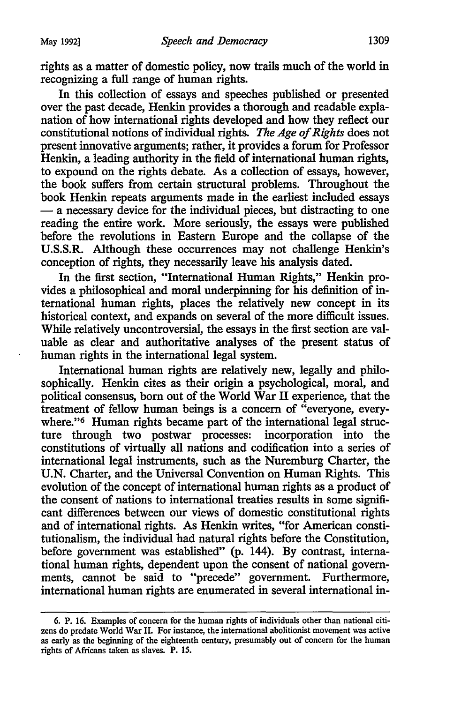rights as a matter of domestic policy, now trails much of the world in recognizing a full range of human rights.

In this collection of essays and speeches published or presented over the past decade, Henkin provides a thorough and readable explanation of how international rights developed and how they reflect our constitutional notions of individual rights. *The Age of Rights* does not present innovative arguments; rather, it provides a forum for Professor Henkin, a leading authority in the field of international human rights, to expound on the rights debate. As a collection of essays, however, the book suffers from certain structural problems. Throughout the book Henkin repeats arguments made in the earliest included essays - a necessary device for the individual pieces, but distracting to one reading the entire work. More seriously, the essays were published before the revolutions in Eastern Europe and the collapse of the U.S.S.R. Although these occurrences may not challenge Henkin's conception of rights, they necessarily leave his analysis dated.

In the first section, "International Human Rights," Henkin provides a philosophical and moral underpinning for his definition of international human rights, places the relatively new concept in its historical context, and expands on several of the more difficult issues. While relatively uncontroversial, the essays in the first section are valuable as clear and authoritative analyses of the present status of human rights in the international legal system.

International human rights are relatively new, legally and philosophically. Henkin cites as their origin a psychological, moral, and political consensus, born out of the World War II experience, that the treatment of fellow human beings is a concern of "everyone, everywhere."<sup>6</sup> Human rights became part of the international legal structure through two postwar processes: incorporation into the constitutions of virtually all nations and codification into a series of international legal instruments, such as the Nuremburg Charter, the U.N. Charter, and the Universal Convention on Human Rights. This evolution of the concept of international human rights as a product of the consent of nations to international treaties results in some significant differences between our views of domestic constitutional rights and of international rights. As Henkin writes, "for American constitutionalism, the individual had natural rights before the Constitution, before government was established" (p. 144). By contrast, international human rights, dependent upon the consent of national governments, cannot be said to "precede" government. Furthermore, international human rights are enumerated in several international in-

<sup>6.</sup> P. 16. Examples of concern for the human rights of individuals other than national citizens do predate World War II. For instance, the international abolitionist movement was active as early as the beginning of the eighteenth century, presumably out of concern for the human rights of Africans taken as slaves. P. 15.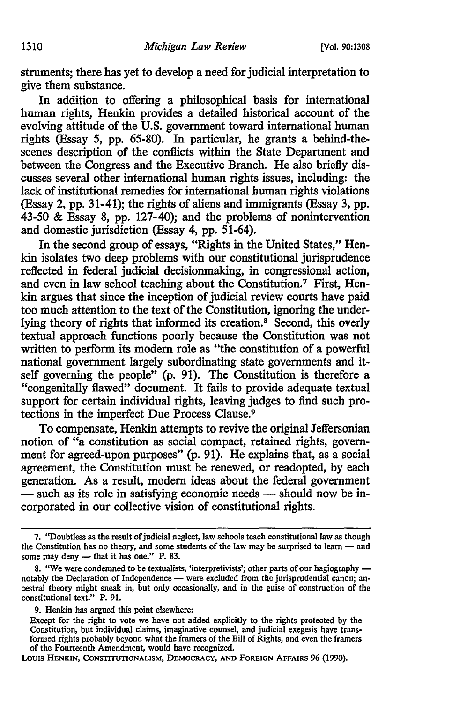struments; there has yet to develop a need for judicial interpretation to give them substance.

In addition to offering a philosophical basis for international human rights, Henkin provides a detailed historical account of the evolving attitude of the U.S. government toward international human rights (Essay 5, pp. 65-80). In particular, he grants a behind-thescenes description of the conflicts within the State Department and between the Congress and the Executive Branch. He also briefly discusses several other international human rights issues, including: the lack of institutional remedies for international human rights violations (Essay 2, pp. 31-41); the rights of aliens and immigrants (Essay 3, pp. 43-50 & Essay 8, pp. 127-40); and the problems of nonintervention and domestic jurisdiction (Essay 4, pp. 51-64).

In the second group of essays, "Rights in the United States," Henkin isolates two deep problems with our constitutional jurisprudence reflected in federal judicial decisionmaking, in congressional action, and even in law school teaching about the Constitution.<sup>7</sup> First, Henkin argues that since the inception of judicial review courts have paid too much attention to the text of the Constitution, ignoring the underlying theory of rights that informed its creation.<sup>8</sup> Second, this overly textual approach functions poorly because the Constitution was not written to perform its modern role as "the constitution of a powerful national government largely subordinating state governments and itself governing the people" (p. 91). The Constitution is therefore a "congenitally flawed" document. It fails to provide adequate textual support for certain individual rights, leaving judges to find such protections in the imperfect Due Process Clause.9

To compensate, Henkin attempts to revive the original Jeffersonian notion of "a constitution as social compact, retained rights, government for agreed-upon purposes" (p. 91). He explains that, as a social agreement, the Constitution must be renewed, or readopted, by each generation. As a result, modem ideas about the federal government  $\frac{1}{x}$  such as its role in satisfying economic needs  $\frac{1}{x}$  should now be incorporated in our collective vision of constitutional rights.

<sup>7. &</sup>quot;Doubtless as the result of judicial neglect, law schools teach constitutional law as though the Constitution has no theory, and some students of the law may be surprised to learn  $-$  and some may deny  $-$  that it has one." P. 83.

<sup>8. &</sup>quot;We were condemned to be textualists, 'interpretivists'; other parts of our hagiography notably the Declaration of Independence - were excluded from the jurisprudential canon; ancestral theory might sneak in, but only occasionally, and in the guise of construction of the constitutional text." P. 91.

<sup>9.</sup> Henkin has argued this point elsewhere:

Except for the right to vote we have not added explicitly to the rights protected by the Constitution, but individual claims, imaginative counsel, and judicial exegesis have transformed rights probably beyond what the framers of the Bill of Rights, and even the framers of the Fourteenth Amendment, would have recognized.

Louis HENKIN, CONSTITUTIONALISM, DEMOCRACY, AND FOREIGN AFFAIRS 96 (1990).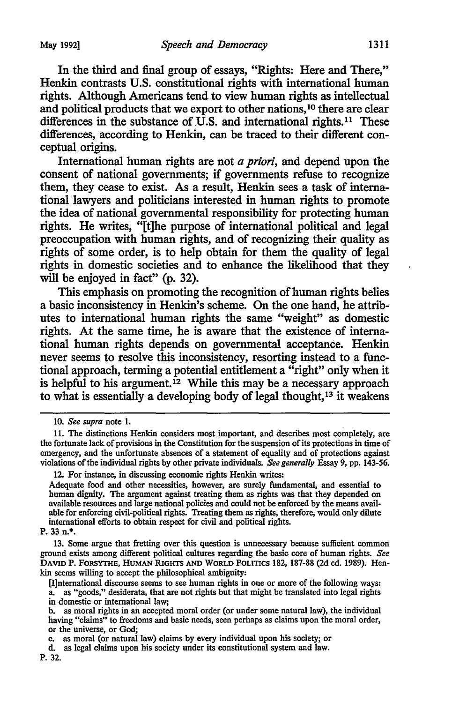In the third and final group of essays, "Rights: Here and There," Henkin contrasts U.S. constitutional rights with international human rights. Although Americans tend to view human rights as intellectual and political products that we export to other nations, 10 there are clear differences in the substance of U.S. and international rights.<sup>11</sup> These differences, according to Henkin, can be traced to their different conceptual origins.

International human rights are not *a priori,* and depend upon the consent of national governments; if governments refuse to recognize them, they cease to exist. As a result, Henkin sees a task of international lawyers and politicians interested in human rights to promote the idea of national governmental responsibility for protecting human rights. He writes, "[t]he purpose of international political and legal preoccupation with human rights, and of recognizing their quality as rights of some order, is to help obtain for them the quality of legal rights in domestic societies and to enhance the likelihood that they will be enjoyed in fact" (p. 32).

This emphasis on promoting the recognition of human rights belies a basic inconsistency in Henkin's scheme. On the one hand, he attributes to international human rights the same "weight" as domestic rights. At the same time, he is aware that the existence of international human rights depends on governmental acceptance. Henkin never seems to resolve this inconsistency, resorting instead to a functional approach, terming a potential entitlement a "right" only when it is helpful to his argument.<sup>12</sup> While this may be a necessary approach to what is essentially a developing body of legal thought, 13 it weakens

12. For instance, in discussing economic rights Henkin writes:

Adequate food and other necessities, however, are surely fundamental, and essential to human dignity. The argument against treating them as rights was that they depended on available resources and large national policies and could not be enforced by the means available for enforcing civil-political rights. Treating them as rights, therefore, would only dilute international efforts to obtain respect for civil and political rights.

P. 33 n.\*.

13. Some argue that fretting over this question is unnecessary because sufficient common ground exists among different political cultures regarding the basic core of human rights. *See*  DAVID P. FORSYTHE, HUMAN RIGHTS AND WORLD POLITICS 182, 187-88 (2d ed. 1989). Henkin seems willing to accept the philosophical ambiguity:

<sup>10.</sup> *See supra* note 1.

<sup>11.</sup> The distinctions Henkin considers most important, and describes most completely, are the fortunate lack of provisions in the Constitution for the suspension of its protections in time of emergency, and the unfortunate absences of a statement of equality and of protections against violations of the individual rights by other private individuals. *See generally* Essay 9, pp. 143-56.

<sup>[</sup>I]nternational discourse seems to see human rights in one or more of the following ways: a. as "goods," desiderata, that are not rights but that might be translated into legal rights in domestic or international law;

b. as moral rights in an accepted moral order (or under some natural law), the individual having "claims" to freedoms and basic needs, seen perhaps as claims upon the moral order, or the universe, or God;

c. as moral (or natural law) claims by every individual upon his society; or

d. as legal claims upon his society under its constitutional system and law.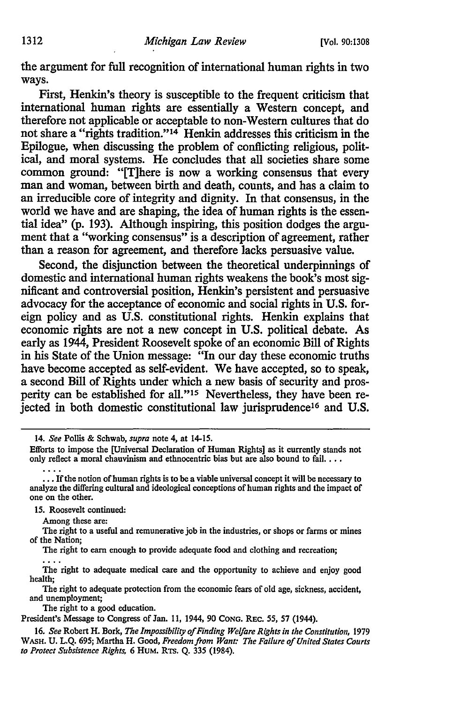the argument for full recognition of international human rights in two ways.

First, Henkin's theory is susceptible to the frequent criticism that international human rights are essentially a Western concept, and therefore not applicable or acceptable to non-Western cultures that do not share a "rights tradition."14 Henkin addresses this criticism in the Epilogue, when discussing the problem of conflicting religious, political, and moral systems. He concludes that all societies share some common ground: "[T]here is now a working consensus that every man and woman, between birth and death, counts, and has a claim to an irreducible core of integrity and dignity. In that consensus, in the world we have and are shaping, the idea of human rights is the essential idea" (p. 193). Although inspiring, this position dodges the argument that a "working consensus" is a description of agreement, rather than a reason for agreement, and therefore lacks persuasive value.

Second, the disjunction between the theoretical underpinnings of domestic and international human rights weakens the book's most significant and controversial position, Henkin's persistent and persuasive advocacy for the acceptance of economic and social rights in U.S. foreign policy and as U.S. constitutional rights. Henkin explains that economic rights are not a new concept in U.S. political debate. As early as 1944, President Roosevelt spoke of an economic Bill of Rights in his State of the Union message: "In our day these economic truths have become accepted as self-evident. We have accepted, so to speak, a second Bill of Rights under which a new basis of security and prosperity can be established for all."<sup>15</sup> Nevertheless, they have been rejected in both domestic constitutional law jurisprudence16 and U.S.

15. Roosevelt continued:

Among these are:

The right to a useful and remunerative job in the industries, or shops or farms or mines of the Nation;

The right to earn enough to provide adequate food and clothing and recreation;

The right to adequate medical care and the opportunity to achieve and enjoy good health;

The right to adequate protection from the economic fears of old age, sickness, accident, and unemployment;

The right to a good education.

President's Message to Congress of Jan. 11, 1944, 90 CONG. REC. *55,* 57 (1944).

16. *See* Robert H. Bork, *The Impossibility of Finding Welfare Rights in the Constitution,* 1979 WASH. U. L.Q. 695; Martha H. Good, *Freedom from Want: The Failure of United States Courts to Protect Subsistence Rights,* 6 HUM. Rrs. Q. 335 (1984).

<sup>14.</sup> *See* Polls & Schwab, *supra* note 4, at 14-15.

Efforts to impose the [Universal Declaration of Human Rights] as it currently stands not only reflect a moral chauvinism and ethnocentric bias but are also bound to fail.  $\ldots$ 

<sup>• • .</sup> If the notion of human rights is to be a viable universal concept it will be necessary to analyze the differing cultural and ideological conceptions of human rights and the impact of one on the other.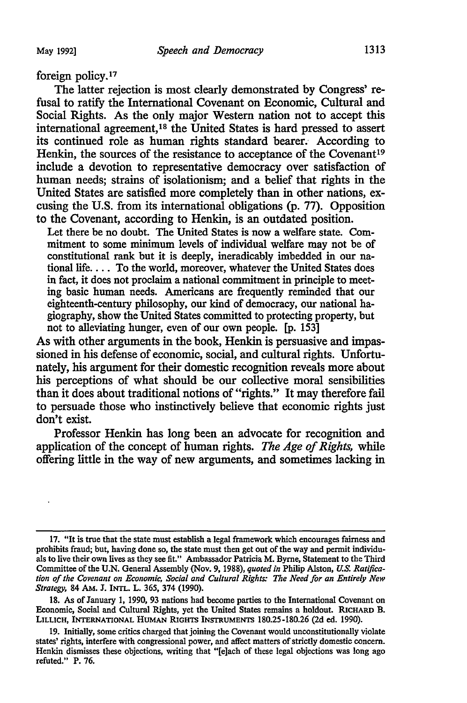foreign policy. <sup>17</sup>

The latter rejection is most clearly demonstrated by Congress' refusal to ratify the International Covenant on Economic, Cultural and Social Rights. As the only major Western nation not to accept this international agreement,18 the United States is hard pressed to assert its continued role as human rights standard bearer. According to Henkin, the sources of the resistance to acceptance of the Covenant<sup>19</sup> include a devotion to representative democracy over satisfaction of human needs; strains of isolationism; and a belief that rights in the United States are satisfied more completely than in other nations, excusing the U.S. from its international obligations (p. 77). Opposition to the Covenant, according to Henkin, is an outdated position.

Let there be no doubt. The United States is now a welfare state. Commitment to some minimum levels of individual welfare may not be of constitutional rank but it is deeply, ineradicably imbedded in our national life. . . . To the world, moreover, whatever the United States does in fact, it does not proclaim a national commitment in principle to meeting basic human needs. Americans are frequently reminded that our eighteenth-century philosophy, our kind of democracy, our national hagiography, show the United States committed to protecting property, but not to alleviating hunger, even of our own people. [p. 153]

As with other arguments in the book, Henkin is persuasive and impassioned in his defense of economic, social, and cultural rights. Unfortunately, his argument for their domestic recognition reveals more about his perceptions of what should be our collective moral sensibilities than it does about traditional notions of "rights." It may therefore fail to persuade those who instinctively believe that economic rights just don't exist.

Professor Henkin has long been an advocate for recognition and application of the concept of human rights. *The Age of Rights,* while offering little in the way of new arguments, and sometimes lacking in

<sup>17. &</sup>quot;It is true that the state must establish a legal framework which encourages fairness and prohibits fraud; but, having done so, the state must then get out of the way and permit individuals to live their own lives as they see fit." Ambassador Patricia M. Byrne, Statement to the Third Committee of the U.N. General Assembly (Nov. 9, 1988), *quoted in* Philip Alston, *U.S. Ratification of the Covenant on Economic, Social and Cultural Rights: The Need for an Entirely New Strategy,* 84 AM. J. INTL. L. 365, 374 (1990).

<sup>18.</sup> As of January 1, 1990, 93 nations had become parties to the International Covenant on Economic, Social and Cultural Rights, yet the United States remains a holdout. RICHARD B. LILLICH, INTERNATIONAL HUMAN RIGHTS INSTRUMENTS 180.25-180.26 (2d ed. 1990).

<sup>19.</sup> Initially, some critics charged that joining the Covenant would unconstitutionally violate states' rights, interfere with congressional power, and affect matters of strictly domestic concern. Henkin dismisses these objections, writing that "[e]ach of these legal objections was long ago refuted." P. 76.